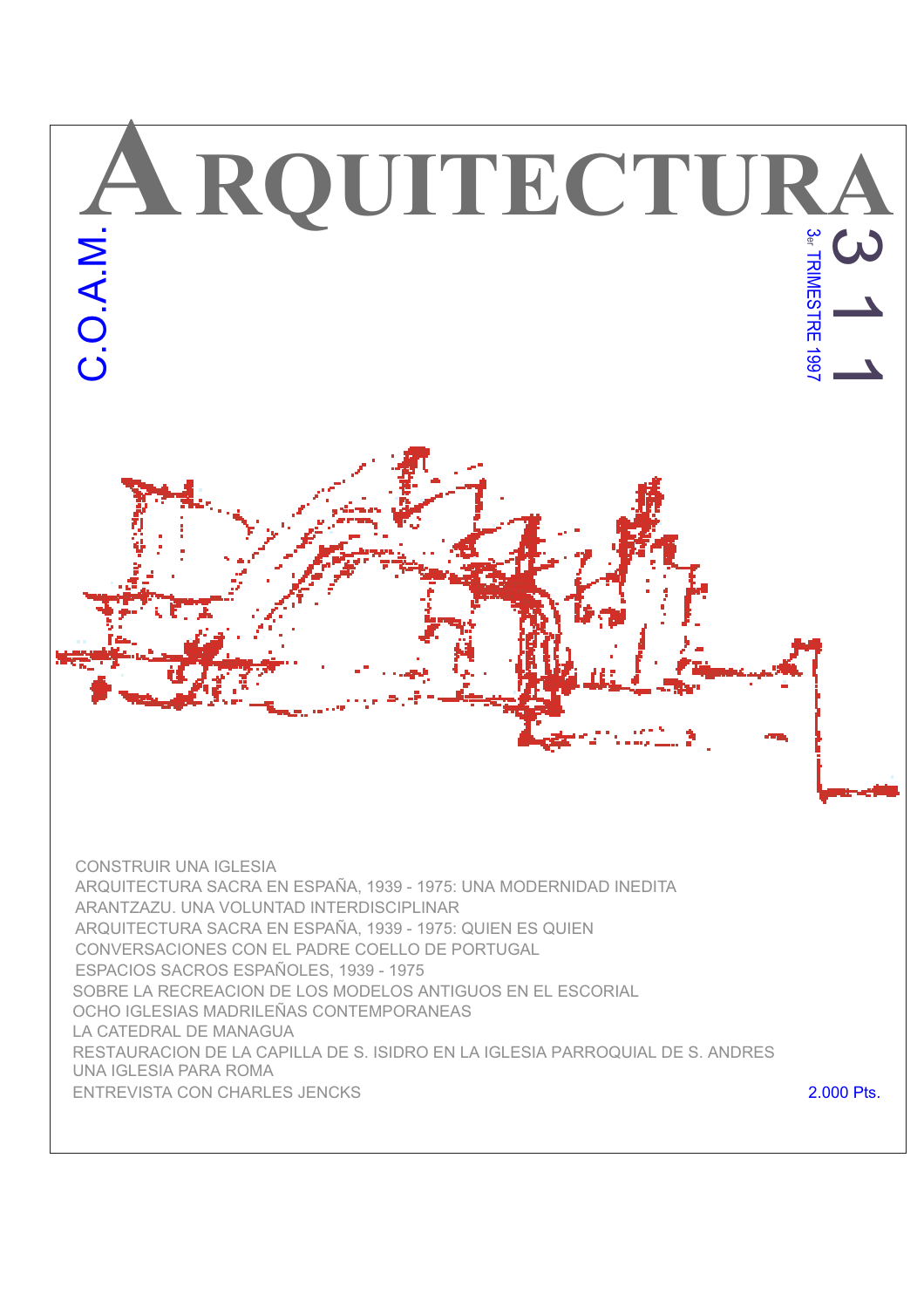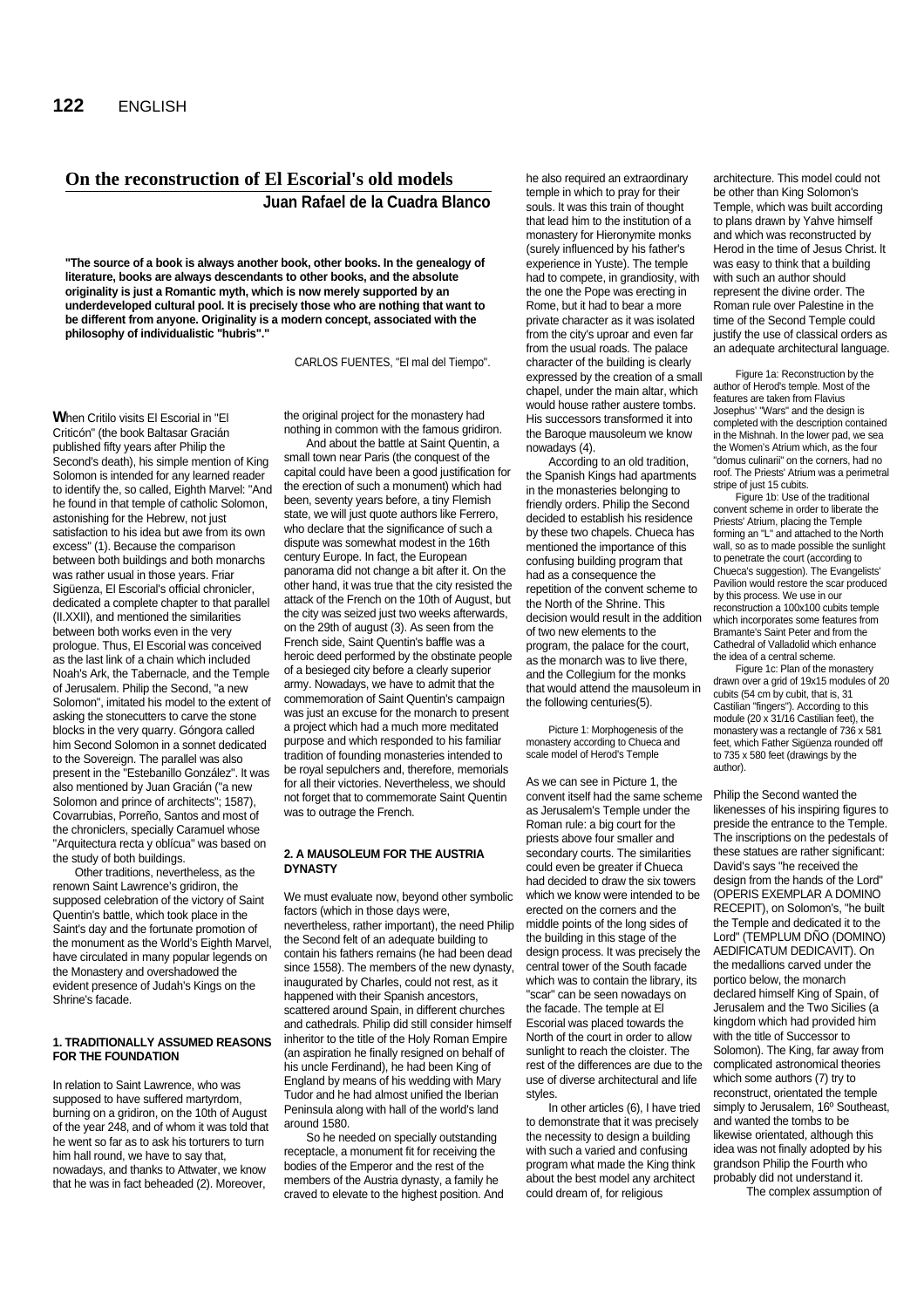# **On the reconstruction of El Escorial's old models Juan Rafael de la Cuadra Blanco**

**"The source of a book is always another book, other books. In the genealogy of literature, books are always descendants to other books, and the absolute originality is just a Romantic myth, which is now merely supported by an underdeveloped cultural pool. It is precisely those who are nothing that want to be different from anyone. Originality is a modern concept, associated with the philosophy of individualistic "hubris"."**

CARLOS FUENTES, "El mal del Tiempo".

**W**hen Critilo visits El Escorial in "El Criticón" (the book Baltasar Gracián published fifty years after Philip the Second's death), his simple mention of King Solomon is intended for any learned reader to identify the, so called, Eighth Marvel: "And he found in that temple of catholic Solomon, astonishing for the Hebrew, not just satisfaction to his idea but awe from its own excess" (1). Because the comparison between both buildings and both monarchs was rather usual in those years. Friar Sigüenza, El Escorial's official chronicler, dedicated a complete chapter to that parallel (II.XXII), and mentioned the similarities between both works even in the very prologue. Thus, El Escorial was conceived as the last link of a chain which included Noah's Ark, the Tabernacle, and the Temple of Jerusalem. Philip the Second, "a new Solomon", imitated his model to the extent of asking the stonecutters to carve the stone blocks in the very quarry. Góngora called him Second Solomon in a sonnet dedicated to the Sovereign. The parallel was also present in the "Estebanillo González". It was also mentioned by Juan Gracián ("a new Solomon and prince of architects"; 1587), Covarrubias, Porreño, Santos and most of the chroniclers, specially Caramuel whose "Arquitectura recta y oblícua" was based on the study of both buildings.

Other traditions, nevertheless, as the renown Saint Lawrence's gridiron, the supposed celebration of the victory of Saint Quentin's battle, which took place in the Saint's day and the fortunate promotion of the monument as the World's Eighth Marvel, have circulated in many popular legends on the Monastery and overshadowed the evident presence of Judah's Kings on the Shrine's facade.

### **1. TRADITIONALLY ASSUMED REASONS FOR THE FOUNDATION**

In relation to Saint Lawrence, who was supposed to have suffered martyrdom, burning on a gridiron, on the 10th of August of the year 248, and of whom it was told that he went so far as to ask his torturers to turn him hall round, we have to say that, nowadays, and thanks to Attwater, we know that he was in fact beheaded (2). Moreover,

the original project for the monastery had nothing in common with the famous gridiron.

And about the battle at Saint Quentin, a small town near Paris (the conquest of the capital could have been a good justification for the erection of such a monument) which had been, seventy years before, a tiny Flemish state, we will just quote authors like Ferrero, who declare that the significance of such a dispute was somewhat modest in the 16th century Europe. In fact, the European panorama did not change a bit after it. On the other hand, it was true that the city resisted the attack of the French on the 10th of August, but the city was seized just two weeks afterwards, on the 29th of august (3). As seen from the French side, Saint Quentin's baffle was a heroic deed performed by the obstinate people of a besieged city before a clearly superior army. Nowadays, we have to admit that the commemoration of Saint Quentin's campaign was just an excuse for the monarch to present a project which had a much more meditated purpose and which responded to his familiar tradition of founding monasteries intended to be royal sepulchers and, therefore, memorials for all their victories. Nevertheless, we should not forget that to commemorate Saint Quentin was to outrage the French

#### **2. A MAUSOLEUM FOR THE AUSTRIA DYNASTY**

We must evaluate now, beyond other symbolic factors (which in those days were, nevertheless, rather important), the need Philip

the Second felt of an adequate building to contain his fathers remains (he had been dead since 1558). The members of the new dynasty, inaugurated by Charles, could not rest, as it happened with their Spanish ancestors, scattered around Spain, in different churches and cathedrals. Philip did still consider himself inheritor to the title of the Holy Roman Empire (an aspiration he finally resigned on behalf of his uncle Ferdinand), he had been King of England by means of his wedding with Mary Tudor and he had almost unified the Iberian Peninsula along with hall of the world's land around 1580.

So he needed on specially outstanding receptacle, a monument fit for receiving the bodies of the Emperor and the rest of the members of the Austria dynasty, a family he craved to elevate to the highest position. And he also required an extraordinary temple in which to pray for their souls. It was this train of thought that lead him to the institution of a monastery for Hieronymite monks (surely influenced by his father's experience in Yuste). The temple had to compete, in grandiosity, with the one the Pope was erecting in Rome, but it had to bear a more private character as it was isolated from the city's uproar and even far from the usual roads. The palace character of the building is clearly expressed by the creation of a small chapel, under the main altar, which would house rather austere tombs. His successors transformed it into the Baroque mausoleum we know nowadays (4).

According to an old tradition, the Spanish Kings had apartments in the monasteries belonging to friendly orders. Philip the Second decided to establish his residence by these two chapels. Chueca has mentioned the importance of this confusing building program that had as a consequence the repetition of the convent scheme to the North of the Shrine. This decision would result in the addition of two new elements to the program, the palace for the court, as the monarch was to live there, and the Collegium for the monks that would attend the mausoleum in the following centuries(5).

Picture 1: Morphogenesis of the monastery according to Chueca and scale model of Herod's Temple

As we can see in Picture 1, the convent itself had the same scheme as Jerusalem's Temple under the Roman rule: a big court for the priests above four smaller and secondary courts. The similarities could even be greater if Chueca had decided to draw the six towers which we know were intended to be erected on the corners and the middle points of the long sides of the building in this stage of the design process. It was precisely the central tower of the South facade which was to contain the library, its "scar" can be seen nowadays on the facade. The temple at El Escorial was placed towards the North of the court in order to allow sunlight to reach the cloister. The rest of the differences are due to the use of diverse architectural and life styles.

In other articles (6), I have tried to demonstrate that it was precisely the necessity to design a building with such a varied and confusing program what made the King think about the best model any architect could dream of, for religious

architecture. This model could not be other than King Solomon's Temple, which was built according to plans drawn by Yahve himself and which was reconstructed by Herod in the time of Jesus Christ. lt was easy to think that a building with such an author should represent the divine order. The Roman rule over Palestine in the time of the Second Temple could justify the use of classical orders as an adequate architectural language.

Figure 1a: Reconstruction by the author of Herod's temple. Most of the features are taken from Flavius Josephus' "Wars" and the design is completed with the description contained in the Mishnah. In the lower pad, we sea the Women's Atrium which, as the four "domus culinarii" on the corners, had no roof. The Priests' Atrium was a perimetral stripe of just 15 cubits.

Figure 1b: Use of the traditional convent scheme in order to liberate the Priests' Atrium, placing the Temple forming an "L" and attached to the North wall, so as to made possible the sunlight to penetrate the court (according to Chueca's suggestion). The Evangelists' Pavilion would restore the scar produced by this process. We use in our reconstruction a 100x100 cubits temple which incorporates some features from Bramante's Saint Peter and from the Cathedral of Valladolid which enhance the idea of a central scheme.

Figure 1c: Plan of the monastery drawn over a grid of 19x15 modules of 20 cubits (54 cm by cubit, that is, 31 Castilian "fingers"). According to this module (20 x 31/16 Castilian feet), the monastery was a rectangle of 736 x 581 feet, which Father Sigüenza rounded off to 735 x 580 feet (drawings by the author).

Philip the Second wanted the likenesses of his inspiring figures to preside the entrance to the Temple. The inscriptions on the pedestals of these statues are rather significant: David's says "he received the design from the hands of the Lord" (OPERIS EXEMPLAR A DOMINO RECEPIT), on Solomon's, "he built the Temple and dedicated it to the Lord" (TEMPLUM DÑO (DOMINO) AEDIFICATUM DEDICAVIT). On the medallions carved under the portico below, the monarch declared himself King of Spain, of Jerusalem and the Two Sicilies (a kingdom which had provided him with the title of Successor to Solomon). The King, far away from complicated astronomical theories which some authors (7) try to reconstruct, orientated the temple simply to Jerusalem, 16° Southeast, and wanted the tombs to be likewise orientated, although this idea was not finally adopted by his grandson Philip the Fourth who probably did not understand it. The complex assumption of